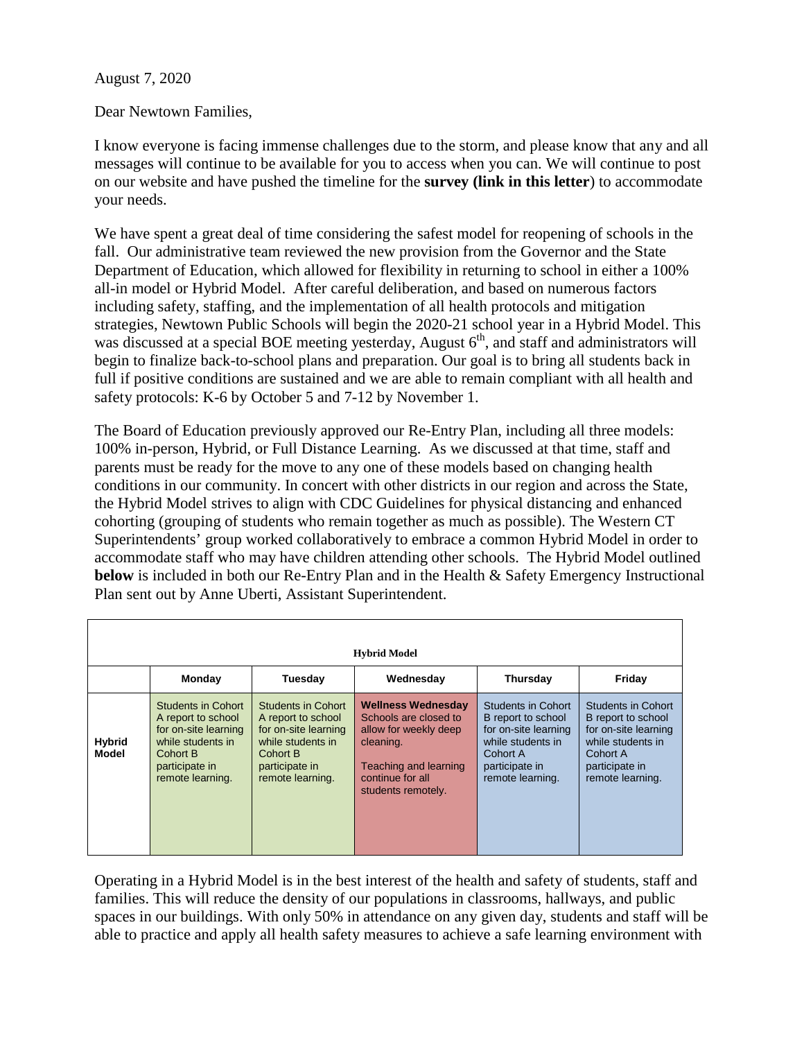## August 7, 2020

Dear Newtown Families,

I know everyone is facing immense challenges due to the storm, and please know that any and all messages will continue to be available for you to access when you can. We will continue to post on our website and have pushed the timeline for the **survey (link in this letter**) to accommodate your needs.

We have spent a great deal of time considering the safest model for reopening of schools in the fall. Our administrative team reviewed the new provision from the Governor and the State Department of Education, which allowed for flexibility in returning to school in either a 100% all-in model or Hybrid Model. After careful deliberation, and based on numerous factors including safety, staffing, and the implementation of all health protocols and mitigation strategies, Newtown Public Schools will begin the 2020-21 school year in a Hybrid Model. This was discussed at a special BOE meeting yesterday, August  $6<sup>th</sup>$ , and staff and administrators will begin to finalize back-to-school plans and preparation. Our goal is to bring all students back in full if positive conditions are sustained and we are able to remain compliant with all health and safety protocols: K-6 by October 5 and 7-12 by November 1.

The Board of Education previously approved our Re-Entry Plan, including all three models: 100% in-person, Hybrid, or Full Distance Learning. As we discussed at that time, staff and parents must be ready for the move to any one of these models based on changing health conditions in our community. In concert with other districts in our region and across the State, the Hybrid Model strives to align with CDC Guidelines for physical distancing and enhanced cohorting (grouping of students who remain together as much as possible). The Western CT Superintendents' group worked collaboratively to embrace a common Hybrid Model in order to accommodate staff who may have children attending other schools. The Hybrid Model outlined **below** is included in both our Re-Entry Plan and in the Health & Safety Emergency Instructional Plan sent out by Anne Uberti, Assistant Superintendent.

| <b>Hybrid Model</b>           |                                                                                                                                         |                                                                                                                                         |                                                                                                                                                             |                                                                                                                                         |                                                                                                                                         |
|-------------------------------|-----------------------------------------------------------------------------------------------------------------------------------------|-----------------------------------------------------------------------------------------------------------------------------------------|-------------------------------------------------------------------------------------------------------------------------------------------------------------|-----------------------------------------------------------------------------------------------------------------------------------------|-----------------------------------------------------------------------------------------------------------------------------------------|
|                               | Monday                                                                                                                                  | Tuesday                                                                                                                                 | Wednesday                                                                                                                                                   | Thursday                                                                                                                                | Friday                                                                                                                                  |
| <b>Hybrid</b><br><b>Model</b> | Students in Cohort<br>A report to school<br>for on-site learning<br>while students in<br>Cohort B<br>participate in<br>remote learning. | Students in Cohort<br>A report to school<br>for on-site learning<br>while students in<br>Cohort B<br>participate in<br>remote learning. | <b>Wellness Wednesday</b><br>Schools are closed to<br>allow for weekly deep<br>cleaning.<br>Teaching and learning<br>continue for all<br>students remotely. | Students in Cohort<br>B report to school<br>for on-site learning<br>while students in<br>Cohort A<br>participate in<br>remote learning. | Students in Cohort<br>B report to school<br>for on-site learning<br>while students in<br>Cohort A<br>participate in<br>remote learning. |

Operating in a Hybrid Model is in the best interest of the health and safety of students, staff and families. This will reduce the density of our populations in classrooms, hallways, and public spaces in our buildings. With only 50% in attendance on any given day, students and staff will be able to practice and apply all health safety measures to achieve a safe learning environment with